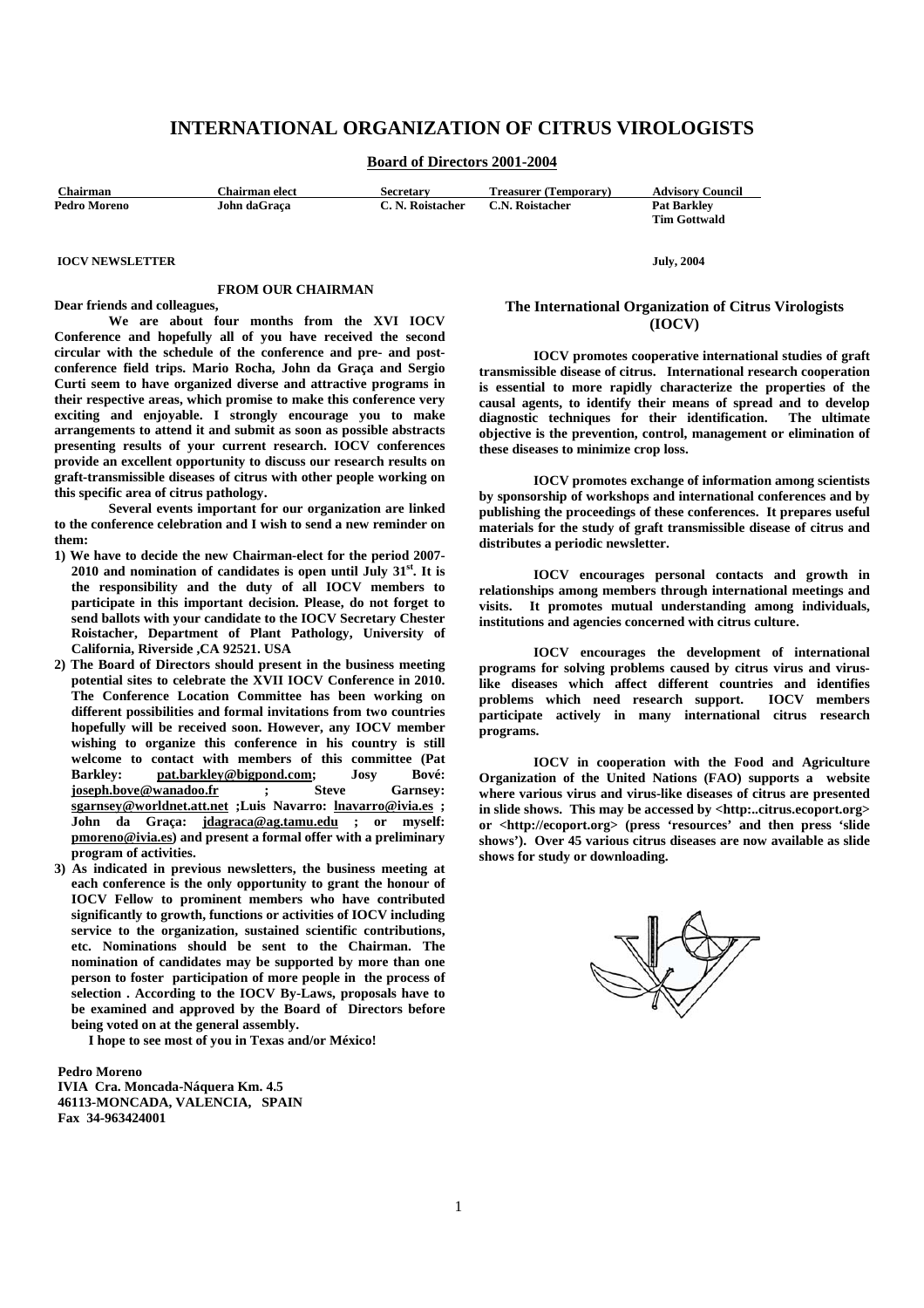# **INTERNATIONAL ORGANIZATION OF CITRUS VIROLOGISTS**

**Board of Directors 2001-2004**

| Chairman            | <b>Chairman elect</b> | <b>Secretary</b> | <b>Treasurer (Temporary)</b> | <b>Advisory Council</b> |
|---------------------|-----------------------|------------------|------------------------------|-------------------------|
| <b>Pedro Moreno</b> | John daGraca          | C. N. Roistacher | C.N. Roistacher              | <b>Pat Barkley</b>      |
|                     |                       |                  |                              | <b>Tim Gottwald</b>     |

 **IOCV NEWSLETTER July, 2004** 

#### **FROM OUR CHAIRMAN**

**Dear friends and colleagues,** 

 **We are about four months from the XVI IOCV Conference and hopefully all of you have received the second circular with the schedule of the conference and pre- and postconference field trips. Mario Rocha, John da Graça and Sergio Curti seem to have organized diverse and attractive programs in their respective areas, which promise to make this conference very exciting and enjoyable. I strongly encourage you to make arrangements to attend it and submit as soon as possible abstracts presenting results of your current research. IOCV conferences provide an excellent opportunity to discuss our research results on graft-transmissible diseases of citrus with other people working on this specific area of citrus pathology.** 

 **Several events important for our organization are linked to the conference celebration and I wish to send a new reminder on them:** 

- **1) We have to decide the new Chairman-elect for the period 2007- 2010 and nomination of candidates is open until July 31st. It is the responsibility and the duty of all IOCV members to participate in this important decision. Please, do not forget to send ballots with your candidate to the IOCV Secretary Chester Roistacher, Department of Plant Pathology, University of California, Riverside ,CA 92521. USA**
- **2) The Board of Directors should present in the business meeting potential sites to celebrate the XVII IOCV Conference in 2010. The Conference Location Committee has been working on different possibilities and formal invitations from two countries hopefully will be received soon. However, any IOCV member wishing to organize this conference in his country is still welcome to contact with members of this committee (Pat Barkley:** pat.barkley@bigpond.com; Josy Bové:<br>ioseph.bove@wanadoo.fr : Steve Garnsey:  $\frac{1}{1}$ **joseph.bove@wanadoo.fr** ; **sgarnsey@worldnet.att.net ;Luis Navarro: lnavarro@ivia.es ; John da Graça: jdagraca@ag.tamu.edu ; or myself: pmoreno@ivia.es) and present a formal offer with a preliminary program of activities.**
- **3) As indicated in previous newsletters, the business meeting at each conference is the only opportunity to grant the honour of IOCV Fellow to prominent members who have contributed significantly to growth, functions or activities of IOCV including service to the organization, sustained scientific contributions, etc. Nominations should be sent to the Chairman. The nomination of candidates may be supported by more than one person to foster participation of more people in the process of selection . According to the IOCV By-Laws, proposals have to be examined and approved by the Board of Directors before being voted on at the general assembly.**

**I hope to see most of you in Texas and/or México!** 

 **Pedro Moreno** 

 **IVIA Cra. Moncada-Náquera Km. 4.5 46113-MONCADA, VALENCIA, SPAIN Fax 34-963424001** 

#### **The International Organization of Citrus Virologists (IOCV)**

**IOCV promotes cooperative international studies of graft transmissible disease of citrus. International research cooperation is essential to more rapidly characterize the properties of the causal agents, to identify their means of spread and to develop diagnostic techniques for their identification. The ultimate objective is the prevention, control, management or elimination of these diseases to minimize crop loss.** 

 **IOCV promotes exchange of information among scientists by sponsorship of workshops and international conferences and by publishing the proceedings of these conferences. It prepares useful materials for the study of graft transmissible disease of citrus and distributes a periodic newsletter.** 

 **IOCV encourages personal contacts and growth in relationships among members through international meetings and visits. It promotes mutual understanding among individuals, institutions and agencies concerned with citrus culture.** 

 **IOCV encourages the development of international programs for solving problems caused by citrus virus and viruslike diseases which affect different countries and identifies**  problems which need research support. **participate actively in many international citrus research programs.** 

 **IOCV in cooperation with the Food and Agriculture Organization of the United Nations (FAO) supports a website where various virus and virus-like diseases of citrus are presented in slide shows. This may be accessed by <http:..citrus.ecoport.org> or <http://ecoport.org> (press 'resources' and then press 'slide shows'). Over 45 various citrus diseases are now available as slide shows for study or downloading.** 

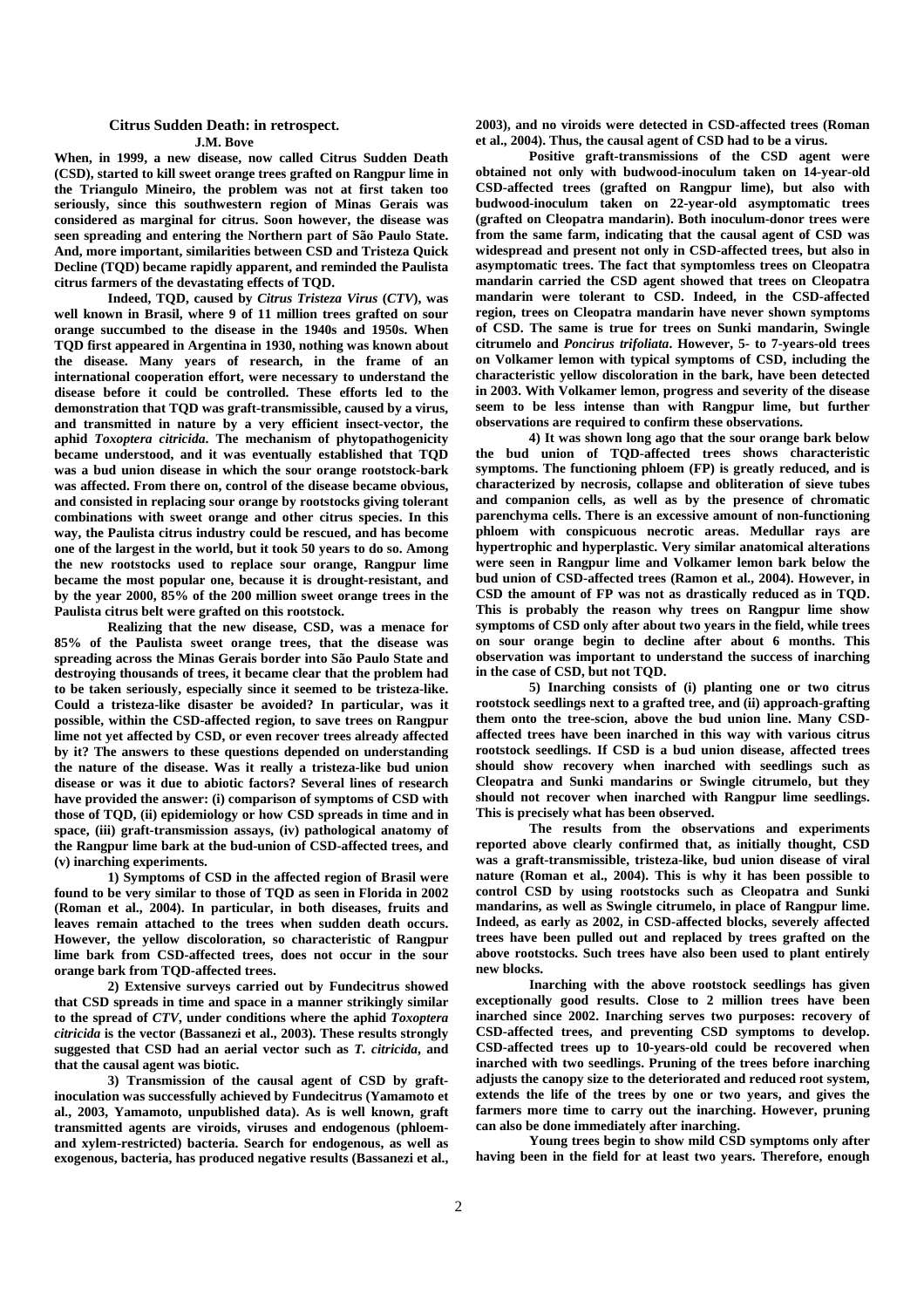#### **Citrus Sudden Death: in retrospect. J.M. Bove**

**When, in 1999, a new disease, now called Citrus Sudden Death (CSD), started to kill sweet orange trees grafted on Rangpur lime in the Triangulo Mineiro, the problem was not at first taken too seriously, since this southwestern region of Minas Gerais was considered as marginal for citrus. Soon however, the disease was seen spreading and entering the Northern part of São Paulo State. And, more important, similarities between CSD and Tristeza Quick Decline (TQD) became rapidly apparent, and reminded the Paulista citrus farmers of the devastating effects of TQD.** 

**Indeed, TQD, caused by** *Citrus Tristeza Virus* **(***CTV***), was well known in Brasil, where 9 of 11 million trees grafted on sour orange succumbed to the disease in the 1940s and 1950s. When TQD first appeared in Argentina in 1930, nothing was known about the disease. Many years of research, in the frame of an international cooperation effort, were necessary to understand the disease before it could be controlled. These efforts led to the demonstration that TQD was graft-transmissible, caused by a virus, and transmitted in nature by a very efficient insect-vector, the aphid** *Toxoptera citricida***. The mechanism of phytopathogenicity became understood, and it was eventually established that TQD was a bud union disease in which the sour orange rootstock-bark was affected. From there on, control of the disease became obvious, and consisted in replacing sour orange by rootstocks giving tolerant combinations with sweet orange and other citrus species. In this way, the Paulista citrus industry could be rescued, and has become one of the largest in the world, but it took 50 years to do so. Among the new rootstocks used to replace sour orange, Rangpur lime became the most popular one, because it is drought-resistant, and by the year 2000, 85% of the 200 million sweet orange trees in the Paulista citrus belt were grafted on this rootstock.** 

**Realizing that the new disease, CSD, was a menace for 85% of the Paulista sweet orange trees, that the disease was spreading across the Minas Gerais border into São Paulo State and destroying thousands of trees, it became clear that the problem had to be taken seriously, especially since it seemed to be tristeza-like. Could a tristeza-like disaster be avoided? In particular, was it possible, within the CSD-affected region, to save trees on Rangpur lime not yet affected by CSD, or even recover trees already affected by it? The answers to these questions depended on understanding the nature of the disease. Was it really a tristeza-like bud union disease or was it due to abiotic factors? Several lines of research have provided the answer: (i) comparison of symptoms of CSD with those of TQD, (ii) epidemiology or how CSD spreads in time and in space, (iii) graft-transmission assays, (iv) pathological anatomy of the Rangpur lime bark at the bud-union of CSD-affected trees, and (v) inarching experiments.** 

**1) Symptoms of CSD in the affected region of Brasil were found to be very similar to those of TQD as seen in Florida in 2002 (Roman et al., 2004). In particular, in both diseases, fruits and leaves remain attached to the trees when sudden death occurs. However, the yellow discoloration, so characteristic of Rangpur lime bark from CSD-affected trees, does not occur in the sour orange bark from TQD-affected trees.** 

**2) Extensive surveys carried out by Fundecitrus showed that CSD spreads in time and space in a manner strikingly similar to the spread of** *CTV***, under conditions where the aphid** *Toxoptera citricida* **is the vector (Bassanezi et al., 2003). These results strongly suggested that CSD had an aerial vector such as** *T. citricida***, and that the causal agent was biotic.** 

**3) Transmission of the causal agent of CSD by graftinoculation was successfully achieved by Fundecitrus (Yamamoto et al., 2003, Yamamoto, unpublished data). As is well known, graft transmitted agents are viroids, viruses and endogenous (phloemand xylem-restricted) bacteria. Search for endogenous, as well as exogenous, bacteria, has produced negative results (Bassanezi et al.,**  **2003), and no viroids were detected in CSD-affected trees (Roman et al., 2004). Thus, the causal agent of CSD had to be a virus.** 

**Positive graft-transmissions of the CSD agent were obtained not only with budwood-inoculum taken on 14-year-old CSD-affected trees (grafted on Rangpur lime), but also with budwood-inoculum taken on 22-year-old asymptomatic trees (grafted on Cleopatra mandarin). Both inoculum-donor trees were from the same farm, indicating that the causal agent of CSD was widespread and present not only in CSD-affected trees, but also in asymptomatic trees. The fact that symptomless trees on Cleopatra mandarin carried the CSD agent showed that trees on Cleopatra mandarin were tolerant to CSD. Indeed, in the CSD-affected region, trees on Cleopatra mandarin have never shown symptoms of CSD. The same is true for trees on Sunki mandarin, Swingle citrumelo and** *Poncirus trifoliata***. However, 5- to 7-years-old trees on Volkamer lemon with typical symptoms of CSD, including the characteristic yellow discoloration in the bark, have been detected in 2003. With Volkamer lemon, progress and severity of the disease seem to be less intense than with Rangpur lime, but further observations are required to confirm these observations.** 

**4) It was shown long ago that the sour orange bark below the bud union of TQD-affected trees shows characteristic symptoms. The functioning phloem (FP) is greatly reduced, and is characterized by necrosis, collapse and obliteration of sieve tubes and companion cells, as well as by the presence of chromatic parenchyma cells. There is an excessive amount of non-functioning phloem with conspicuous necrotic areas. Medullar rays are hypertrophic and hyperplastic. Very similar anatomical alterations were seen in Rangpur lime and Volkamer lemon bark below the bud union of CSD-affected trees (Ramon et al., 2004). However, in CSD the amount of FP was not as drastically reduced as in TQD. This is probably the reason why trees on Rangpur lime show symptoms of CSD only after about two years in the field, while trees on sour orange begin to decline after about 6 months. This observation was important to understand the success of inarching in the case of CSD, but not TQD.** 

**5) Inarching consists of (i) planting one or two citrus rootstock seedlings next to a grafted tree, and (ii) approach-grafting them onto the tree-scion, above the bud union line. Many CSDaffected trees have been inarched in this way with various citrus rootstock seedlings. If CSD is a bud union disease, affected trees should show recovery when inarched with seedlings such as Cleopatra and Sunki mandarins or Swingle citrumelo, but they should not recover when inarched with Rangpur lime seedlings. This is precisely what has been observed.** 

**The results from the observations and experiments reported above clearly confirmed that, as initially thought, CSD was a graft-transmissible, tristeza-like, bud union disease of viral nature (Roman et al., 2004). This is why it has been possible to control CSD by using rootstocks such as Cleopatra and Sunki mandarins, as well as Swingle citrumelo, in place of Rangpur lime. Indeed, as early as 2002, in CSD-affected blocks, severely affected trees have been pulled out and replaced by trees grafted on the above rootstocks. Such trees have also been used to plant entirely new blocks.** 

**Inarching with the above rootstock seedlings has given exceptionally good results. Close to 2 million trees have been inarched since 2002. Inarching serves two purposes: recovery of CSD-affected trees, and preventing CSD symptoms to develop. CSD-affected trees up to 10-years-old could be recovered when inarched with two seedlings. Pruning of the trees before inarching adjusts the canopy size to the deteriorated and reduced root system, extends the life of the trees by one or two years, and gives the farmers more time to carry out the inarching. However, pruning can also be done immediately after inarching.** 

**Young trees begin to show mild CSD symptoms only after having been in the field for at least two years. Therefore, enough**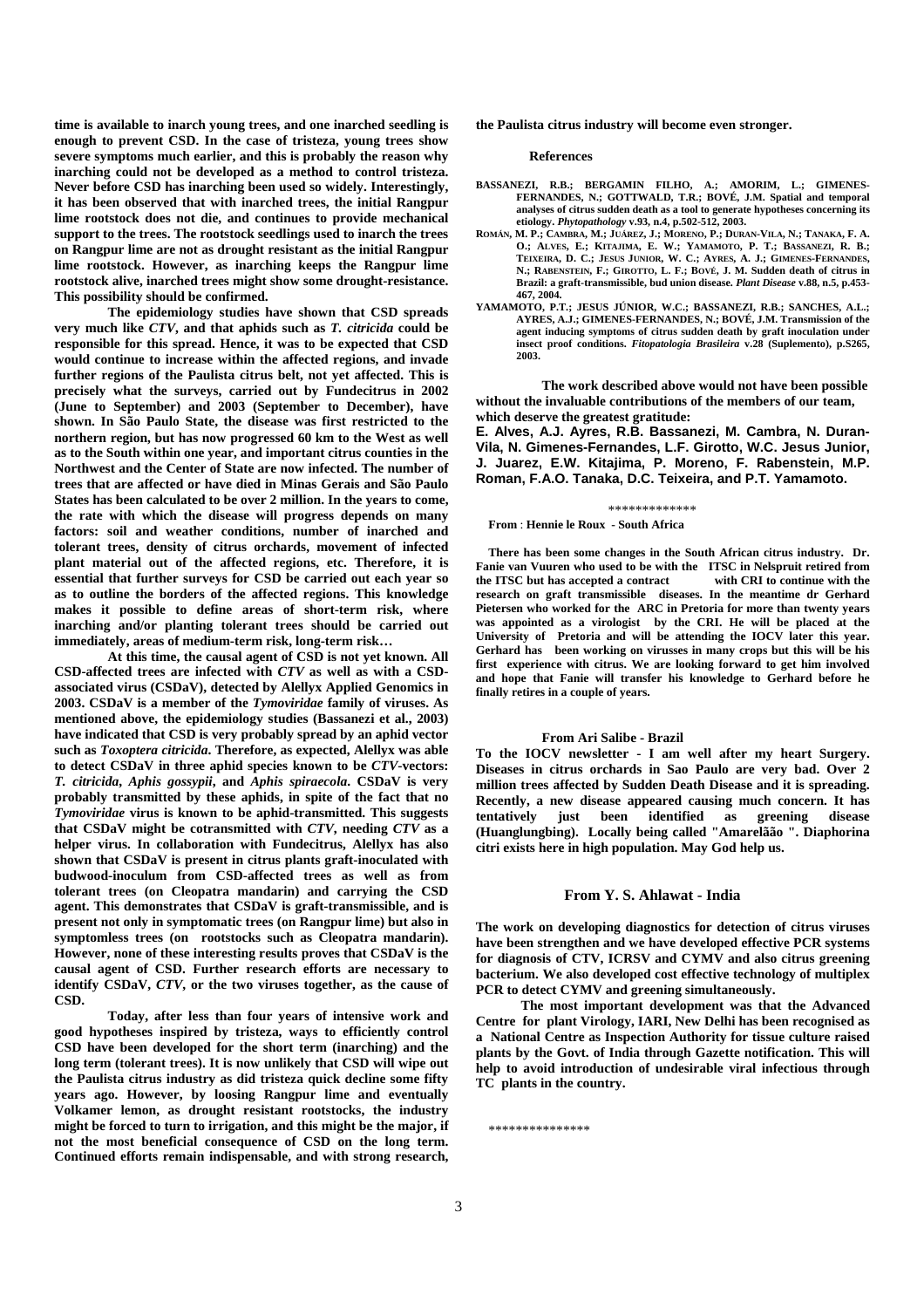**time is available to inarch young trees, and one inarched seedling is enough to prevent CSD. In the case of tristeza, young trees show severe symptoms much earlier, and this is probably the reason why inarching could not be developed as a method to control tristeza. Never before CSD has inarching been used so widely. Interestingly, it has been observed that with inarched trees, the initial Rangpur lime rootstock does not die, and continues to provide mechanical support to the trees. The rootstock seedlings used to inarch the trees on Rangpur lime are not as drought resistant as the initial Rangpur lime rootstock. However, as inarching keeps the Rangpur lime rootstock alive, inarched trees might show some drought-resistance. This possibility should be confirmed.** 

**The epidemiology studies have shown that CSD spreads very much like** *CTV***, and that aphids such as** *T. citricida* **could be responsible for this spread. Hence, it was to be expected that CSD would continue to increase within the affected regions, and invade further regions of the Paulista citrus belt, not yet affected. This is precisely what the surveys, carried out by Fundecitrus in 2002 (June to September) and 2003 (September to December), have shown. In São Paulo State, the disease was first restricted to the northern region, but has now progressed 60 km to the West as well as to the South within one year, and important citrus counties in the Northwest and the Center of State are now infected. The number of trees that are affected or have died in Minas Gerais and São Paulo States has been calculated to be over 2 million. In the years to come, the rate with which the disease will progress depends on many factors: soil and weather conditions, number of inarched and tolerant trees, density of citrus orchards, movement of infected plant material out of the affected regions, etc. Therefore, it is essential that further surveys for CSD be carried out each year so as to outline the borders of the affected regions. This knowledge makes it possible to define areas of short-term risk, where inarching and/or planting tolerant trees should be carried out immediately, areas of medium-term risk, long-term risk…** 

**At this time, the causal agent of CSD is not yet known. All CSD-affected trees are infected with** *CTV* **as well as with a CSDassociated virus (CSDaV), detected by Alellyx Applied Genomics in 2003. CSDaV is a member of the** *Tymoviridae* **family of viruses. As mentioned above, the epidemiology studies (Bassanezi et al., 2003) have indicated that CSD is very probably spread by an aphid vector such as** *Toxoptera citricida***. Therefore, as expected, Alellyx was able to detect CSDaV in three aphid species known to be** *CTV***-vectors:**  *T. citricida***,** *Aphis gossypii***, and** *Aphis spiraecola***. CSDaV is very probably transmitted by these aphids, in spite of the fact that no**  *Tymoviridae* **virus is known to be aphid-transmitted. This suggests that CSDaV might be cotransmitted with** *CTV***, needing** *CTV* **as a helper virus. In collaboration with Fundecitrus, Alellyx has also shown that CSDaV is present in citrus plants graft-inoculated with budwood-inoculum from CSD-affected trees as well as from tolerant trees (on Cleopatra mandarin) and carrying the CSD**  agent. This demonstrates that CSDaV is graft-transmissible, and is **present not only in symptomatic trees (on Rangpur lime) but also in symptomless trees (on rootstocks such as Cleopatra mandarin). However, none of these interesting results proves that CSDaV is the causal agent of CSD. Further research efforts are necessary to identify CSDaV,** *CTV***, or the two viruses together, as the cause of CSD.** 

**Today, after less than four years of intensive work and good hypotheses inspired by tristeza, ways to efficiently control CSD have been developed for the short term (inarching) and the long term (tolerant trees). It is now unlikely that CSD will wipe out the Paulista citrus industry as did tristeza quick decline some fifty years ago. However, by loosing Rangpur lime and eventually Volkamer lemon, as drought resistant rootstocks, the industry might be forced to turn to irrigation, and this might be the major, if not the most beneficial consequence of CSD on the long term. Continued efforts remain indispensable, and with strong research,** 

**the Paulista citrus industry will become even stronger.** 

**References** 

- **BASSANEZI, R.B.; BERGAMIN FILHO, A.; AMORIM, L.; GIMENES-FERNANDES, N.; GOTTWALD, T.R.; BOVÉ, J.M. Spatial and temporal analyses of citrus sudden death as a tool to generate hypotheses concerning its etiology.** *Phytopathology* **v.93, n.4, p.502-512, 2003.**
- **ROMÁN, M. P.; CAMBRA, M.; JUÁREZ, J.; MORENO, P.; DURAN-VILA, N.; TANAKA, F. A. O.; ALVES, E.; KITAJIMA, E. W.; YAMAMOTO, P. T.; BASSANEZI, R. B.; TEIXEIRA, D. C.; JESUS JUNIOR, W. C.; AYRES, A. J.; GIMENES-FERNANDES, N.; RABENSTEIN, F.; GIROTTO, L. F.; BOVÉ, J. M. Sudden death of citrus in Brazil: a graft-transmissible, bud union disease.** *Plant Disease* **v.88, n.5, p.453- 467, 2004.**
- **YAMAMOTO, P.T.; JESUS JÚNIOR, W.C.; BASSANEZI, R.B.; SANCHES, A.L.; AYRES, A.J.; GIMENES-FERNANDES, N.; BOVÉ, J.M. Transmission of the agent inducing symptoms of citrus sudden death by graft inoculation under insect proof conditions.** *Fitopatologia Brasileira* **v.28 (Suplemento), p.S265, 2003.**

 **The work described above would not have been possible without the invaluable contributions of the members of our team, which deserve the greatest gratitude:** 

 **E. Alves, A.J. Ayres, R.B. Bassanezi, M. Cambra, N. Duran-Vila, N. Gimenes-Fernandes, L.F. Girotto, W.C. Jesus Junior, J. Juarez, E.W. Kitajima, P. Moreno, F. Rabenstein, M.P. Roman, F.A.O. Tanaka, D.C. Teixeira, and P.T. Yamamoto.**

#### \*\*\*\*\*\*\*\*\*\*\*

**From** : **Hennie le Roux - South Africa** 

 **There has been some changes in the South African citrus industry. Dr. Fanie van Vuuren who used to be with the ITSC in Nelspruit retired from the ITSC but has accepted a contract with CRI to continue with the research on graft transmissible diseases. In the meantime dr Gerhard Pietersen who worked for the ARC in Pretoria for more than twenty years was appointed as a virologist by the CRI. He will be placed at the University of Pretoria and will be attending the IOCV later this year. Gerhard has been working on virusses in many crops but this will be his first experience with citrus. We are looking forward to get him involved and hope that Fanie will transfer his knowledge to Gerhard before he finally retires in a couple of years.** 

#### **From Ari Salibe - Brazil**

 **To the IOCV newsletter - I am well after my heart Surgery. Diseases in citrus orchards in Sao Paulo are very bad. Over 2 million trees affected by Sudden Death Disease and it is spreading. Recently, a new disease appeared causing much concern. It has tentatively just been identified as greening disease (Huanglungbing). Locally being called "Amarelãão ". Diaphorina citri exists here in high population. May God help us.** 

#### **From Y. S. Ahlawat - India**

**The work on developing diagnostics for detection of citrus viruses have been strengthen and we have developed effective PCR systems for diagnosis of CTV, ICRSV and CYMV and also citrus greening bacterium. We also developed cost effective technology of multiplex PCR to detect CYMV and greening simultaneously.** 

 **The most important development was that the Advanced Centre for plant Virology, IARI, New Delhi has been recognised as a National Centre as Inspection Authority for tissue culture raised plants by the Govt. of India through Gazette notification. This will help to avoid introduction of undesirable viral infectious through TC plants in the country.** 

\*\*\*\*\*\*\*\*\*\*\*\*\*\*\*\*\*\*\*\*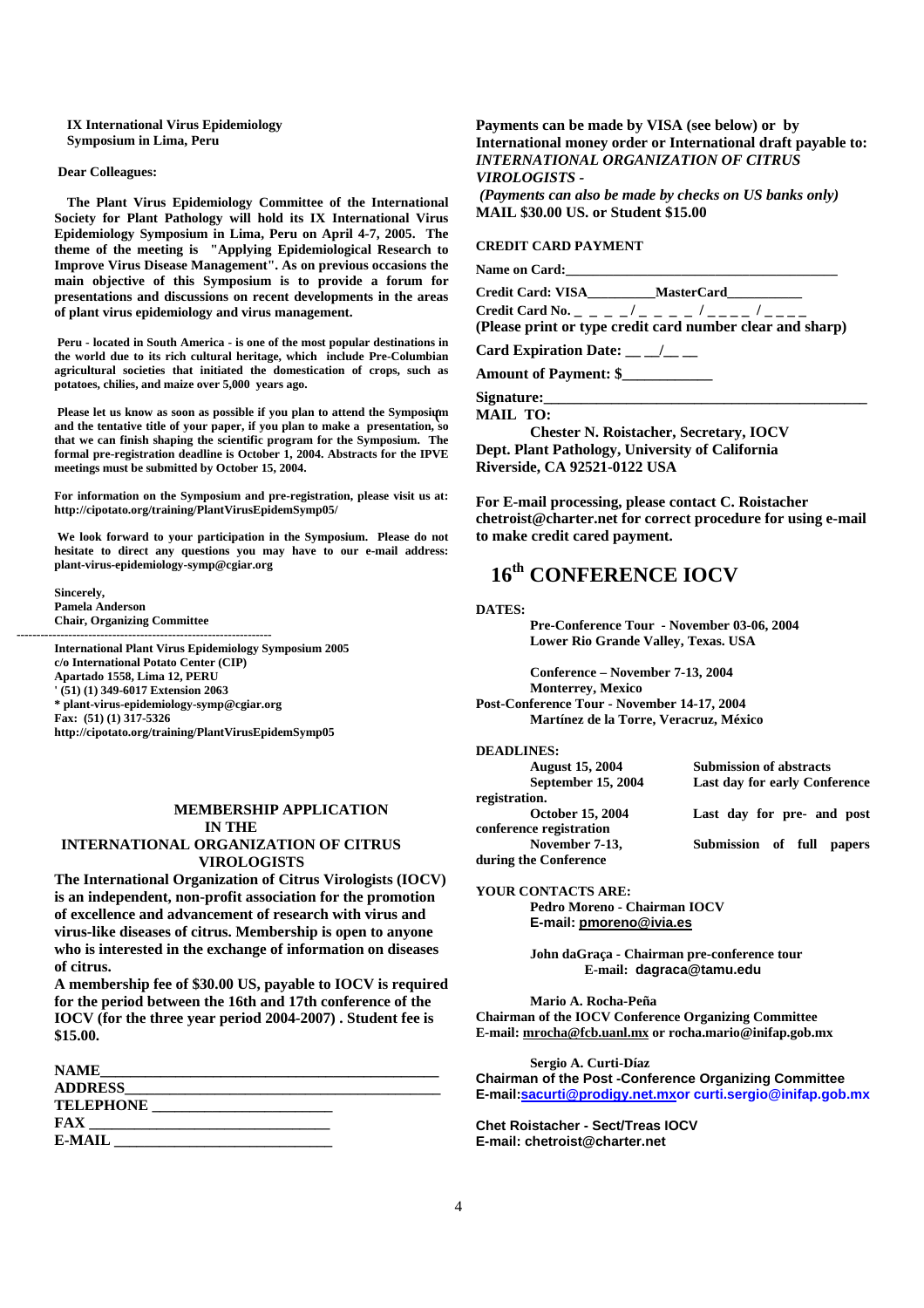**IX International Virus Epidemiology Symposium in Lima, Peru** 

#### **Dear Colleagues:**

 **The Plant Virus Epidemiology Committee of the International Society for Plant Pathology will hold its IX International Virus Epidemiology Symposium in Lima, Peru on April 4-7, 2005. The theme of the meeting is "Applying Epidemiological Research to Improve Virus Disease Management". As on previous occasions the main objective of this Symposium is to provide a forum for presentations and discussions on recent developments in the areas of plant virus epidemiology and virus management.** 

 **Peru - located in South America - is one of the most popular destinations in the world due to its rich cultural heritage, which include Pre-Columbian agricultural societies that initiated the domestication of crops, such as potatoes, chilies, and maize over 5,000 years ago.** 

Please let us know as soon as possible if you plan to attend the Symposium **and the tentative title of your paper, if you plan to make a presentation, so that we can finish shaping the scientific program for the Symposium. The formal pre-registration deadline is October 1, 2004. Abstracts for the IPVE meetings must be submitted by October 15, 2004.** 

**For information on the Symposium and pre-registration, please visit us at: http://cipotato.org/training/PlantVirusEpidemSymp05/** 

 **We look forward to your participation in the Symposium. Please do not hesitate to direct any questions you may have to our e-mail address: plant-virus-epidemiology-symp@cgiar.org** 

 **Sincerely, Pamela Anderson Chair, Organizing Committee** 

**of citrus.** 

 $\mathbf{r} = \mathbf{r}_1 + \mathbf{r}_2 + \mathbf{r}_3$  ,  $\mathbf{r}_4 = \mathbf{r}_1 + \mathbf{r}_2 + \mathbf{r}_3$  ,  $\mathbf{r}_5 = \mathbf{r}_1 + \mathbf{r}_2 + \mathbf{r}_3$  ,  $\mathbf{r}_6 = \mathbf{r}_1 + \mathbf{r}_2 + \mathbf{r}_3$ 

 **International Plant Virus Epidemiology Symposium 2005 c/o International Potato Center (CIP) Apartado 1558, Lima 12, PERU ' (51) (1) 349-6017 Extension 2063 \* plant-virus-epidemiology-symp@cgiar.org Fax: (51) (1) 317-5326 http://cipotato.org/training/PlantVirusEpidemSymp05**

# **MEMBERSHIP APPLICATION IN THE INTERNATIONAL ORGANIZATION OF CITRUS**

**VIROLOGISTS The International Organization of Citrus Virologists (IOCV) is an independent, non-profit association for the promotion of excellence and advancement of research with virus and virus-like diseases of citrus. Membership is open to anyone who is interested in the exchange of information on diseases** 

 **A membership fee of \$30.00 US, payable to IOCV is required for the period between the 16th and 17th conference of the IOCV (for the three year period 2004-2007) . Student fee is \$15.00.** 

| <b>NAME</b>      |  |
|------------------|--|
| <b>ADDRESS</b>   |  |
| <b>TELEPHONE</b> |  |
| FAX              |  |
| E-MAIL           |  |

# **Payments can be made by VISA (see below) or by International money order or International draft payable to:**  *INTERNATIONAL ORGANIZATION OF CITRUS VIROLOGISTS -*

 *(Payments can also be made by checks on US banks only)*   **MAIL \$30.00 US. or Student \$15.00** 

# **CREDIT CARD PAYMENT**

Name on Card:

**Credit Card: VISA\_\_\_\_\_\_\_\_\_\_MasterCard\_\_\_\_\_\_\_\_\_\_\_**  Credit Card No. \_ \_ \_ \_ / \_ \_ \_ \_ / \_ \_ \_ \_ / \_ \_ \_

**(Please print or type credit card number clear and sharp)** 

Card Expiration Date: \_\_ \_/\_\_ \_

**Amount of Payment: \$\_\_\_\_\_\_\_\_\_\_\_\_** 

Signature:

**( MAIL TO:** 

**Chester N. Roistacher, Secretary, IOCV Dept. Plant Pathology, University of California Riverside, CA 92521-0122 USA** 

 **For E-mail processing, please contact C. Roistacher chetroist@charter.net for correct procedure for using e-mail to make credit cared payment.** 

# **16th CONFERENCE IOCV**

**DATES:** 

 **Pre-Conference Tour - November 03-06, 2004 Lower Rio Grande Valley, Texas. USA** 

 **Conference – November 7-13, 2004 Monterrey, Mexico Post-Conference Tour - November 14-17, 2004 Martínez de la Torre, Veracruz, México** 

#### **DEADLINES:**

| <b>August 15, 2004</b>  | <b>Submission of abstracts</b><br>Last day for early Conference |  |  |
|-------------------------|-----------------------------------------------------------------|--|--|
| September 15, 2004      |                                                                 |  |  |
| registration.           |                                                                 |  |  |
| <b>October 15, 2004</b> | Last day for pre- and post                                      |  |  |
| conference registration |                                                                 |  |  |
| November 7-13,          | Submission of full<br>papers                                    |  |  |
| during the Conference   |                                                                 |  |  |

**YOUR CONTACTS ARE: Pedro Moreno - Chairman IOCV E-mail: pmoreno@ivia.es**

> **John daGraça - Chairman pre-conference tour E-mail: dagraca@tamu.edu**

**Mario A. Rocha-Peña Chairman of the IOCV Conference Organizing Committee E-mail: mrocha@fcb.uanl.mx or rocha.mario@inifap.gob.mx** 

 **Sergio A. Curti-Díaz Chairman of the Post -Conference Organizing Committee E-mail:sacurti@prodigy.net.mxor curti.sergio@inifap.gob.mx**

**Chet Roistacher - Sect/Treas IOCV E-mail: chetroist@charter.net**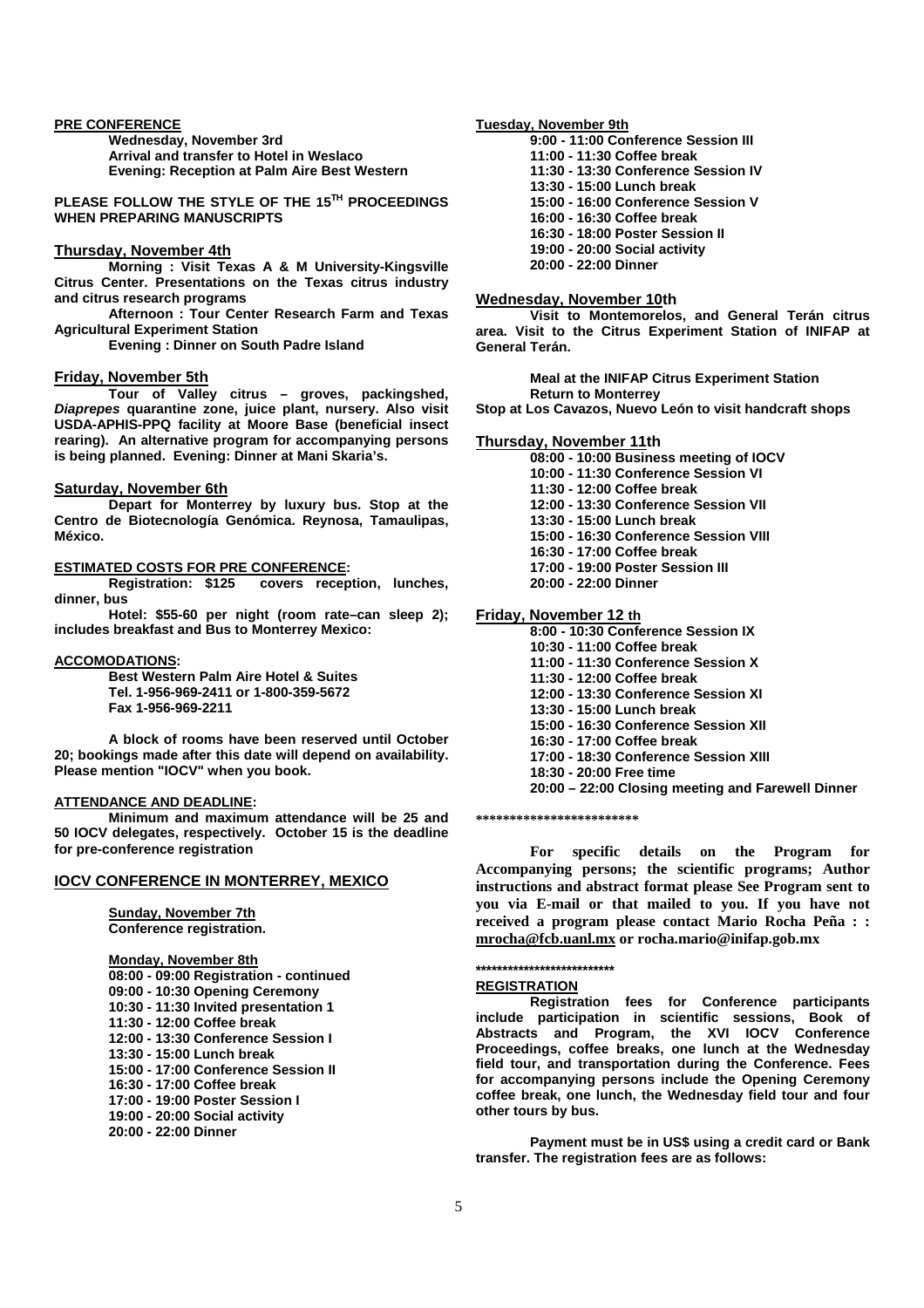#### **PRE CONFERENCE**

 **Wednesday, November 3rd Arrival and transfer to Hotel in Weslaco Evening: Reception at Palm Aire Best Western** 

**PLEASE FOLLOW THE STYLE OF THE 15TH PROCEEDINGS WHEN PREPARING MANUSCRIPTS** 

#### **Thursday, November 4th**

 **Morning : Visit Texas A & M University-Kingsville Citrus Center. Presentations on the Texas citrus industry and citrus research programs** 

 **Afternoon : Tour Center Research Farm and Texas Agricultural Experiment Station** 

 **Evening : Dinner on South Padre Island** 

#### **Friday, November 5th**

 **Tour of Valley citrus – groves, packingshed,**  *Diaprepes* **quarantine zone, juice plant, nursery. Also visit USDA-APHIS-PPQ facility at Moore Base (beneficial insect rearing). An alternative program for accompanying persons is being planned. Evening: Dinner at Mani Skaria's.** 

#### **Saturday, November 6th**

 **Depart for Monterrey by luxury bus. Stop at the Centro de Biotecnología Genómica. Reynosa, Tamaulipas, México.** 

## **ESTIMATED COSTS FOR PRE CONFERENCE:**

 **Registration: \$125 covers reception, lunches, dinner, bus** 

 **Hotel: \$55-60 per night (room rate–can sleep 2); includes breakfast and Bus to Monterrey Mexico:** 

#### **ACCOMODATIONS:**

 **Best Western Palm Aire Hotel & Suites Tel. 1-956-969-2411 or 1-800-359-5672 Fax 1-956-969-2211** 

 **A block of rooms have been reserved until October 20; bookings made after this date will depend on availability. Please mention "IOCV" when you book.** 

### **ATTENDANCE AND DEADLINE:**

 **Minimum and maximum attendance will be 25 and 50 IOCV delegates, respectively. October 15 is the deadline for pre-conference registration** 

### **IOCV CONFERENCE IN MONTERREY, MEXICO**

 **Sunday, November 7th Conference registration.** 

 **Monday, November 8th 08:00 - 09:00 Registration - continued 09:00 - 10:30 Opening Ceremony 10:30 - 11:30 Invited presentation 1 11:30 - 12:00 Coffee break 12:00 - 13:30 Conference Session I 13:30 - 15:00 Lunch break 15:00 - 17:00 Conference Session II 16:30 - 17:00 Coffee break 17:00 - 19:00 Poster Session I 19:00 - 20:00 Social activity 20:00 - 22:00 Dinner** 

#### **Tuesday, November 9th**

**9:00 - 11:00 Conference Session III** 

- **11:00 11:30 Coffee break**
- **11:30 13:30 Conference Session IV**
- **13:30 15:00 Lunch break**
- **15:00 16:00 Conference Session V**
- **16:00 16:30 Coffee break**
- **16:30 18:00 Poster Session II**
- **19:00 20:00 Social activity**
- **20:00 22:00 Dinner**

#### **Wednesday, November 10th**

 **Visit to Montemorelos, and General Terán citrus area. Visit to the Citrus Experiment Station of INIFAP at General Terán.** 

 **Meal at the INIFAP Citrus Experiment Station Return to Monterrey** 

**Stop at Los Cavazos, Nuevo León to visit handcraft shops** 

#### **Thursday, November 11th**

- **08:00 10:00 Business meeting of IOCV**
- **10:00 11:30 Conference Session VI**
- **11:30 12:00 Coffee break**
- **12:00 13:30 Conference Session VII**

 **13:30 - 15:00 Lunch break** 

- **15:00 16:30 Conference Session VIII**
- **16:30 17:00 Coffee break**
- **17:00 19:00 Poster Session III**
- **20:00 22:00 Dinner**

#### **Friday, November 12 th**

 **8:00 - 10:30 Conference Session IX** 

- **10:30 11:00 Coffee break**
- **11:00 11:30 Conference Session X**
- **11:30 12:00 Coffee break**
- **12:00 13:30 Conference Session XI**
- **13:30 15:00 Lunch break**
- **15:00 16:30 Conference Session XII**
- **16:30 17:00 Coffee break**
- **17:00 18:30 Conference Session XIII**
- **18:30 20:00 Free time**
- **20:00 22:00 Closing meeting and Farewell Dinner**

**\*\*\*\*\*\*\*\*\*\*\*\*\*\*\*\*\*\*\*\*\*\*\*\*** 

**For specific details on the Program for Accompanying persons; the scientific programs; Author instructions and abstract format please See Program sent to you via E-mail or that mailed to you. If you have not received a program please contact Mario Rocha Peña : : mrocha@fcb.uanl.mx or rocha.mario@inifap.gob.mx**

#### **\*\*\*\*\*\*\*\*\*\*\*\*\*\*\*\*\*\*\*\*\*\*\*\*\*\***

#### **REGISTRATION**

 **Registration fees for Conference participants include participation in scientific sessions, Book of Abstracts and Program, the XVI IOCV Conference Proceedings, coffee breaks, one lunch at the Wednesday field tour, and transportation during the Conference. Fees for accompanying persons include the Opening Ceremony coffee break, one lunch, the Wednesday field tour and four other tours by bus.** 

 **Payment must be in US\$ using a credit card or Bank transfer. The registration fees are as follows:**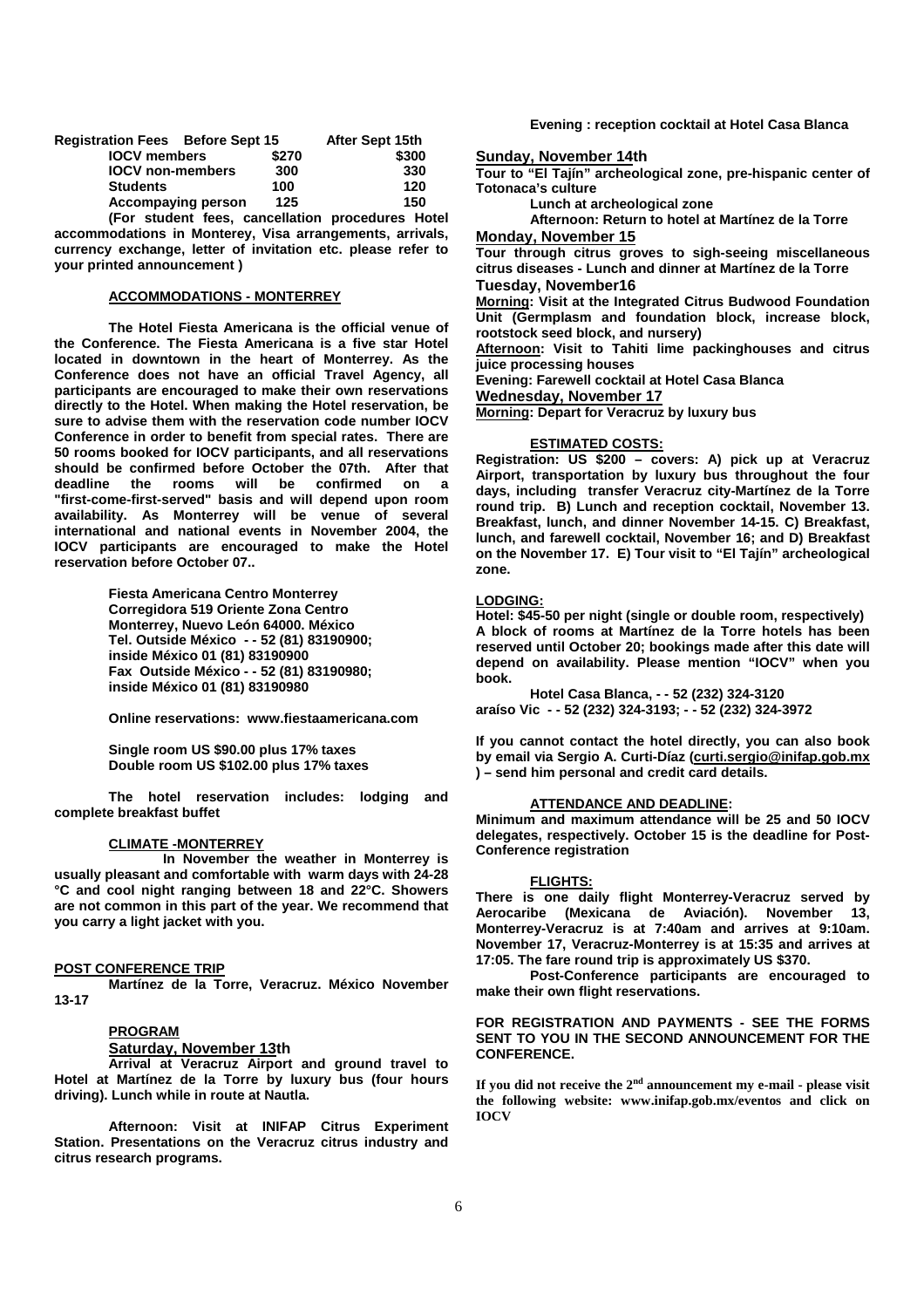| <b>Registration Fees Before Sept 15</b> |       | After Sept 15th |       |
|-----------------------------------------|-------|-----------------|-------|
| <b>IOCV</b> members                     | \$270 |                 | \$300 |
| <b>IOCV</b> non-members                 | 300   |                 | 330   |
| <b>Students</b>                         | 100   |                 | 120   |
| <b>Accompaying person</b>               | 125   |                 | 150   |
|                                         |       |                 |       |

 **(For student fees, cancellation procedures Hotel accommodations in Monterey, Visa arrangements, arrivals, currency exchange, letter of invitation etc. please refer to your printed announcement )** 

# **ACCOMMODATIONS - MONTERREY**

 **The Hotel Fiesta Americana is the official venue of the Conference. The Fiesta Americana is a five star Hotel located in downtown in the heart of Monterrey. As the Conference does not have an official Travel Agency, all participants are encouraged to make their own reservations directly to the Hotel. When making the Hotel reservation, be sure to advise them with the reservation code number IOCV Conference in order to benefit from special rates. There are 50 rooms booked for IOCV participants, and all reservations should be confirmed before October the 07th. After that deadline the rooms will be confirmed on a "first-come-first-served" basis and will depend upon room availability. As Monterrey will be venue of several international and national events in November 2004, the IOCV participants are encouraged to make the Hotel reservation before October 07..** 

> **Fiesta Americana Centro Monterrey Corregidora 519 Oriente Zona Centro Monterrey, Nuevo León 64000. México Tel. Outside México - - 52 (81) 83190900; inside México 01 (81) 83190900 Fax Outside México - - 52 (81) 83190980; inside México 01 (81) 83190980**

 **Online reservations: www.fiestaamericana.com** 

 **Single room US \$90.00 plus 17% taxes Double room US \$102.00 plus 17% taxes** 

 **The hotel reservation includes: lodging and complete breakfast buffet** 

#### **CLIMATE -MONTERREY**

 **In November the weather in Monterrey is usually pleasant and comfortable with warm days with 24-28 °C and cool night ranging between 18 and 22°C. Showers are not common in this part of the year. We recommend that you carry a light jacket with you.** 

#### **POST CONFERENCE TRIP**

 **Martínez de la Torre, Veracruz. México November 13-17** 

#### **PROGRAM**

**Saturday, November 13th**

 **Arrival at Veracruz Airport and ground travel to Hotel at Martínez de la Torre by luxury bus (four hours driving). Lunch while in route at Nautla.** 

 **Afternoon: Visit at INIFAP Citrus Experiment Station. Presentations on the Veracruz citrus industry and citrus research programs.** 

 **Evening : reception cocktail at Hotel Casa Blanca** 

**Sunday, November 14th**

**Tour to "El Tajín" archeological zone, pre-hispanic center of Totonaca's culture** 

 **Lunch at archeological zone** 

 **Afternoon: Return to hotel at Martínez de la Torre Monday, November 15**

**Tour through citrus groves to sigh-seeing miscellaneous citrus diseases - Lunch and dinner at Martínez de la Torre Tuesday, November16** 

**Morning: Visit at the Integrated Citrus Budwood Foundation Unit (Germplasm and foundation block, increase block, rootstock seed block, and nursery)** 

**Afternoon: Visit to Tahiti lime packinghouses and citrus juice processing houses** 

**Evening: Farewell cocktail at Hotel Casa Blanca** 

**Wednesday, November 17**

**Morning: Depart for Veracruz by luxury bus** 

#### **ESTIMATED COSTS:**

**Registration: US \$200 – covers: A) pick up at Veracruz Airport, transportation by luxury bus throughout the four days, including transfer Veracruz city-Martínez de la Torre round trip. B) Lunch and reception cocktail, November 13. Breakfast, lunch, and dinner November 14-15. C) Breakfast, lunch, and farewell cocktail, November 16; and D) Breakfast on the November 17. E) Tour visit to "El Tajín" archeological zone.** 

#### **LODGING:**

**Hotel: \$45-50 per night (single or double room, respectively) A block of rooms at Martínez de la Torre hotels has been reserved until October 20; bookings made after this date will depend on availability. Please mention "IOCV" when you book.** 

 **Hotel Casa Blanca, - - 52 (232) 324-3120 araíso Vic - - 52 (232) 324-3193; - - 52 (232) 324-3972** 

**If you cannot contact the hotel directly, you can also book by email via Sergio A. Curti-Díaz (curti.sergio@inifap.gob.mx ) – send him personal and credit card details.** 

# **ATTENDANCE AND DEADLINE:**

**Minimum and maximum attendance will be 25 and 50 IOCV delegates, respectively. October 15 is the deadline for Post-Conference registration** 

### **FLIGHTS:**

**There is one daily flight Monterrey-Veracruz served by Aerocaribe (Mexicana de Aviación). November 13, Monterrey-Veracruz is at 7:40am and arrives at 9:10am. November 17, Veracruz-Monterrey is at 15:35 and arrives at 17:05. The fare round trip is approximately US \$370.** 

 **Post-Conference participants are encouraged to make their own flight reservations.** 

#### **FOR REGISTRATION AND PAYMENTS - SEE THE FORMS SENT TO YOU IN THE SECOND ANNOUNCEMENT FOR THE CONFERENCE.**

**If you did not receive the 2nd announcement my e-mail - please visit the following website: www.inifap.gob.mx/eventos and click on IOCV**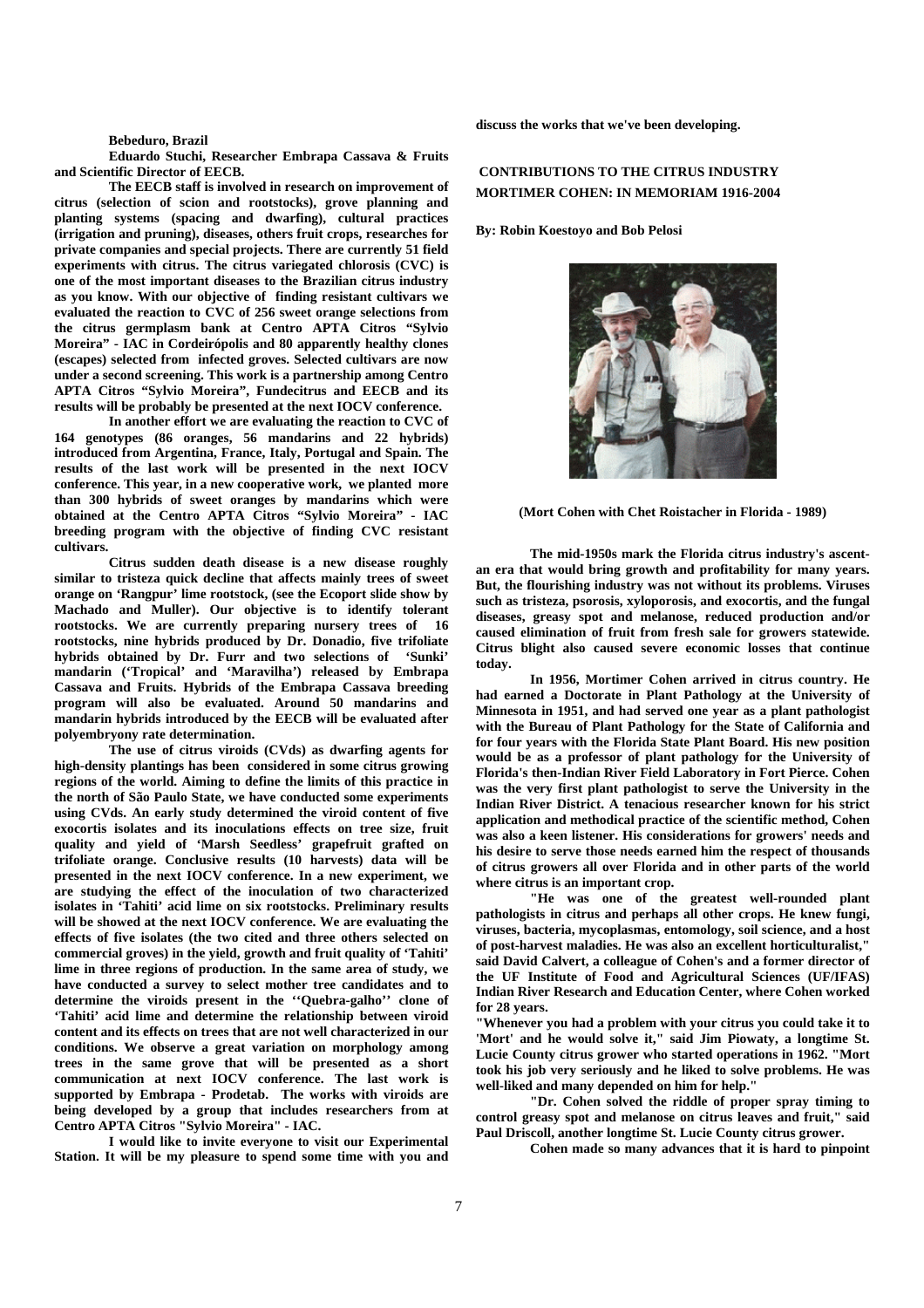#### **Bebeduro, Brazil**

**Eduardo Stuchi, Researcher Embrapa Cassava & Fruits and Scientific Director of EECB.** 

 **The EECB staff is involved in research on improvement of citrus (selection of scion and rootstocks), grove planning and planting systems (spacing and dwarfing), cultural practices (irrigation and pruning), diseases, others fruit crops, researches for private companies and special projects. There are currently 51 field experiments with citrus. The citrus variegated chlorosis (CVC) is one of the most important diseases to the Brazilian citrus industry as you know. With our objective of finding resistant cultivars we evaluated the reaction to CVC of 256 sweet orange selections from the citrus germplasm bank at Centro APTA Citros "Sylvio Moreira" - IAC in Cordeirópolis and 80 apparently healthy clones (escapes) selected from infected groves. Selected cultivars are now under a second screening. This work is a partnership among Centro APTA Citros "Sylvio Moreira", Fundecitrus and EECB and its results will be probably be presented at the next IOCV conference.** 

 **In another effort we are evaluating the reaction to CVC of 164 genotypes (86 oranges, 56 mandarins and 22 hybrids) introduced from Argentina, France, Italy, Portugal and Spain. The results of the last work will be presented in the next IOCV conference. This year, in a new cooperative work, we planted more than 300 hybrids of sweet oranges by mandarins which were obtained at the Centro APTA Citros "Sylvio Moreira" - IAC breeding program with the objective of finding CVC resistant cultivars.** 

 **Citrus sudden death disease is a new disease roughly similar to tristeza quick decline that affects mainly trees of sweet orange on 'Rangpur' lime rootstock, (see the Ecoport slide show by Machado and Muller). Our objective is to identify tolerant rootstocks. We are currently preparing nursery trees of 16 rootstocks, nine hybrids produced by Dr. Donadio, five trifoliate hybrids obtained by Dr. Furr and two selections of 'Sunki' mandarin ('Tropical' and 'Maravilha') released by Embrapa Cassava and Fruits. Hybrids of the Embrapa Cassava breeding program will also be evaluated. Around 50 mandarins and mandarin hybrids introduced by the EECB will be evaluated after polyembryony rate determination.** 

 **The use of citrus viroids (CVds) as dwarfing agents for high-density plantings has been considered in some citrus growing regions of the world. Aiming to define the limits of this practice in the north of São Paulo State, we have conducted some experiments using CVds. An early study determined the viroid content of five exocortis isolates and its inoculations effects on tree size, fruit quality and yield of 'Marsh Seedless' grapefruit grafted on trifoliate orange. Conclusive results (10 harvests) data will be presented in the next IOCV conference. In a new experiment, we are studying the effect of the inoculation of two characterized isolates in 'Tahiti' acid lime on six rootstocks. Preliminary results will be showed at the next IOCV conference. We are evaluating the effects of five isolates (the two cited and three others selected on commercial groves) in the yield, growth and fruit quality of 'Tahiti' lime in three regions of production. In the same area of study, we have conducted a survey to select mother tree candidates and to determine the viroids present in the ''Quebra-galho'' clone of 'Tahiti' acid lime and determine the relationship between viroid content and its effects on trees that are not well characterized in our conditions. We observe a great variation on morphology among trees in the same grove that will be presented as a short communication at next IOCV conference. The last work is supported by Embrapa - Prodetab. The works with viroids are being developed by a group that includes researchers from at Centro APTA Citros "Sylvio Moreira" - IAC.** 

 **I would like to invite everyone to visit our Experimental Station. It will be my pleasure to spend some time with you and**  **discuss the works that we've been developing.**

# **CONTRIBUTIONS TO THE CITRUS INDUSTRY MORTIMER COHEN: IN MEMORIAM 1916-2004**

**By: Robin Koestoyo and Bob Pelosi** 



**(Mort Cohen with Chet Roistacher in Florida - 1989)** 

 **The mid-1950s mark the Florida citrus industry's ascentan era that would bring growth and profitability for many years. But, the flourishing industry was not without its problems. Viruses such as tristeza, psorosis, xyloporosis, and exocortis, and the fungal diseases, greasy spot and melanose, reduced production and/or caused elimination of fruit from fresh sale for growers statewide. Citrus blight also caused severe economic losses that continue today.** 

 **In 1956, Mortimer Cohen arrived in citrus country. He had earned a Doctorate in Plant Pathology at the University of Minnesota in 1951, and had served one year as a plant pathologist with the Bureau of Plant Pathology for the State of California and for four years with the Florida State Plant Board. His new position would be as a professor of plant pathology for the University of Florida's then-Indian River Field Laboratory in Fort Pierce. Cohen was the very first plant pathologist to serve the University in the Indian River District. A tenacious researcher known for his strict application and methodical practice of the scientific method, Cohen was also a keen listener. His considerations for growers' needs and his desire to serve those needs earned him the respect of thousands of citrus growers all over Florida and in other parts of the world where citrus is an important crop.** 

 **"He was one of the greatest well-rounded plant pathologists in citrus and perhaps all other crops. He knew fungi, viruses, bacteria, mycoplasmas, entomology, soil science, and a host of post-harvest maladies. He was also an excellent horticulturalist," said David Calvert, a colleague of Cohen's and a former director of the UF Institute of Food and Agricultural Sciences (UF/IFAS) Indian River Research and Education Center, where Cohen worked for 28 years.** 

**"Whenever you had a problem with your citrus you could take it to 'Mort' and he would solve it," said Jim Piowaty, a longtime St. Lucie County citrus grower who started operations in 1962. "Mort took his job very seriously and he liked to solve problems. He was well-liked and many depended on him for help."** 

 **"Dr. Cohen solved the riddle of proper spray timing to control greasy spot and melanose on citrus leaves and fruit," said Paul Driscoll, another longtime St. Lucie County citrus grower.** 

 **Cohen made so many advances that it is hard to pinpoint**